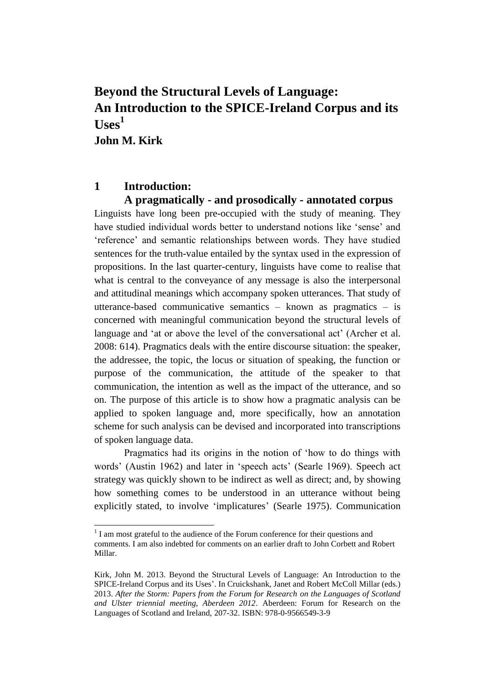# **Beyond the Structural Levels of Language: An Introduction to the SPICE-Ireland Corpus and its**   $\mathbf{U}$ ses<sup>1</sup> **John M. Kirk**

### **1 Introduction:**

 $\overline{a}$ 

### **A pragmatically - and prosodically - annotated corpus**

Linguists have long been pre-occupied with the study of meaning. They have studied individual words better to understand notions like 'sense' and 'reference' and semantic relationships between words. They have studied sentences for the truth-value entailed by the syntax used in the expression of propositions. In the last quarter-century, linguists have come to realise that what is central to the conveyance of any message is also the interpersonal and attitudinal meanings which accompany spoken utterances. That study of utterance-based communicative semantics – known as pragmatics – is concerned with meaningful communication beyond the structural levels of language and 'at or above the level of the conversational act' (Archer et al. 2008: 614). Pragmatics deals with the entire discourse situation: the speaker, the addressee, the topic, the locus or situation of speaking, the function or purpose of the communication, the attitude of the speaker to that communication, the intention as well as the impact of the utterance, and so on. The purpose of this article is to show how a pragmatic analysis can be applied to spoken language and, more specifically, how an annotation scheme for such analysis can be devised and incorporated into transcriptions of spoken language data.

Pragmatics had its origins in the notion of 'how to do things with words' (Austin 1962) and later in 'speech acts' (Searle 1969). Speech act strategy was quickly shown to be indirect as well as direct; and, by showing how something comes to be understood in an utterance without being explicitly stated, to involve 'implicatures' (Searle 1975). Communication

<sup>&</sup>lt;sup>1</sup> I am most grateful to the audience of the Forum conference for their questions and comments. I am also indebted for comments on an earlier draft to John Corbett and Robert Millar.

Kirk, John M. 2013. Beyond the Structural Levels of Language: An Introduction to the SPICE-Ireland Corpus and its Uses'. In Cruickshank, Janet and Robert McColl Millar (eds.) 2013. *After the Storm: Papers from the Forum for Research on the Languages of Scotland and Ulster triennial meeting, Aberdeen 2012*. Aberdeen: Forum for Research on the Languages of Scotland and Ireland, 207-32. ISBN: 978-0-9566549-3-9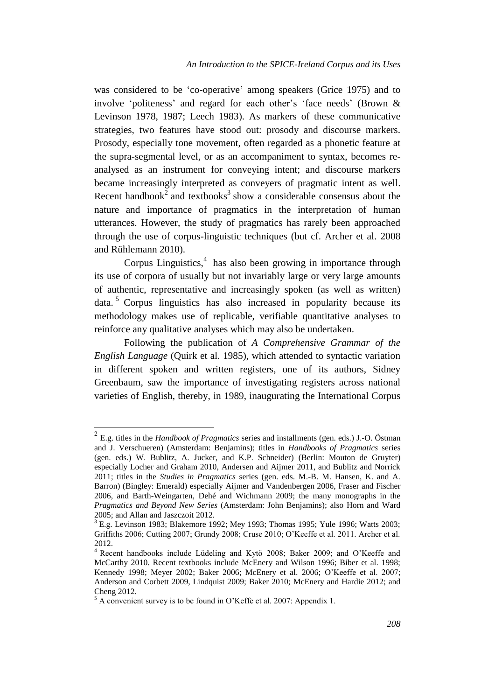was considered to be 'co-operative' among speakers (Grice 1975) and to involve 'politeness' and regard for each other's 'face needs' (Brown & Levinson 1978, 1987; Leech 1983). As markers of these communicative strategies, two features have stood out: prosody and discourse markers. Prosody, especially tone movement, often regarded as a phonetic feature at the supra-segmental level, or as an accompaniment to syntax, becomes reanalysed as an instrument for conveying intent; and discourse markers became increasingly interpreted as conveyers of pragmatic intent as well. Recent handbook<sup>2</sup> and textbooks<sup>3</sup> show a considerable consensus about the nature and importance of pragmatics in the interpretation of human utterances. However, the study of pragmatics has rarely been approached through the use of corpus-linguistic techniques (but cf. Archer et al. 2008 and Rühlemann 2010).

Corpus Linguistics, $4$  has also been growing in importance through its use of corpora of usually but not invariably large or very large amounts of authentic, representative and increasingly spoken (as well as written) data.<sup>5</sup> Corpus linguistics has also increased in popularity because its methodology makes use of replicable, verifiable quantitative analyses to reinforce any qualitative analyses which may also be undertaken.

Following the publication of *A Comprehensive Grammar of the English Language* (Quirk et al. 1985), which attended to syntactic variation in different spoken and written registers, one of its authors, Sidney Greenbaum, saw the importance of investigating registers across national varieties of English, thereby, in 1989, inaugurating the International Corpus

<sup>2</sup> E.g. titles in the *Handbook of Pragmatics* series and installments (gen. eds.) J.-O. Östman and J. Verschueren) (Amsterdam: Benjamins); titles in *Handbooks of Pragmatics* series (gen. eds.) W. Bublitz, A. Jucker, and K.P. Schneider) (Berlin: Mouton de Gruyter) especially Locher and Graham 2010, Andersen and Aijmer 2011, and Bublitz and Norrick 2011; titles in the *Studies in Pragmatics* series (gen. eds. M.-B. M. Hansen, K. and A. Barron) (Bingley: Emerald) especially Aijmer and Vandenbergen 2006, Fraser and Fischer 2006, and Barth-Weingarten, Dehé and Wichmann 2009; the many monographs in the *Pragmatics and Beyond New Series* (Amsterdam: John Benjamins); also Horn and Ward 2005; and Allan and Jaszczoit 2012.

 $3$  E.g. Levinson 1983; Blakemore 1992; Mey 1993; Thomas 1995; Yule 1996; Watts 2003; Griffiths 2006; Cutting 2007; Grundy 2008; Cruse 2010; O'Keeffe et al. 2011. Archer et al. 2012.

<sup>4</sup> Recent handbooks include Lüdeling and Kytö 2008; Baker 2009; and O'Keeffe and McCarthy 2010. Recent textbooks include McEnery and Wilson 1996; Biber et al. 1998; Kennedy 1998; Meyer 2002; Baker 2006; McEnery et al. 2006; O'Keeffe et al. 2007; Anderson and Corbett 2009, Lindquist 2009; Baker 2010; McEnery and Hardie 2012; and Cheng 2012.

<sup>5</sup> A convenient survey is to be found in O'Keffe et al. 2007: Appendix 1.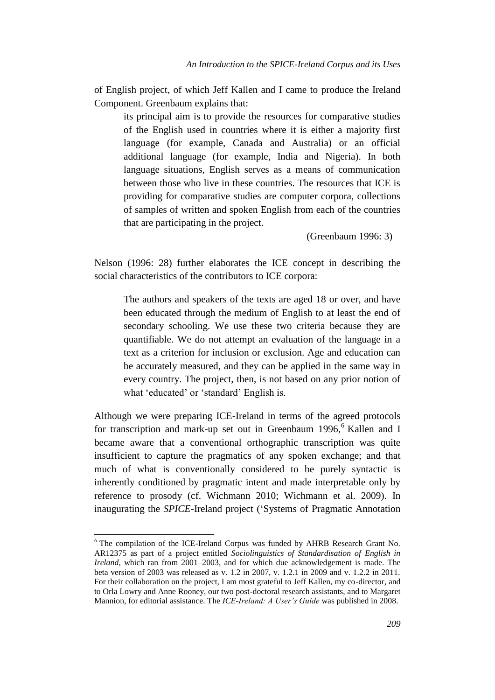of English project, of which Jeff Kallen and I came to produce the Ireland Component. Greenbaum explains that:

its principal aim is to provide the resources for comparative studies of the English used in countries where it is either a majority first language (for example, Canada and Australia) or an official additional language (for example, India and Nigeria). In both language situations, English serves as a means of communication between those who live in these countries. The resources that ICE is providing for comparative studies are computer corpora, collections of samples of written and spoken English from each of the countries that are participating in the project.

(Greenbaum 1996: 3)

Nelson (1996: 28) further elaborates the ICE concept in describing the social characteristics of the contributors to ICE corpora:

The authors and speakers of the texts are aged 18 or over, and have been educated through the medium of English to at least the end of secondary schooling. We use these two criteria because they are quantifiable. We do not attempt an evaluation of the language in a text as a criterion for inclusion or exclusion. Age and education can be accurately measured, and they can be applied in the same way in every country. The project, then, is not based on any prior notion of what 'educated' or 'standard' English is.

Although we were preparing ICE-Ireland in terms of the agreed protocols for transcription and mark-up set out in Greenbaum 1996,<sup>6</sup> Kallen and I became aware that a conventional orthographic transcription was quite insufficient to capture the pragmatics of any spoken exchange; and that much of what is conventionally considered to be purely syntactic is inherently conditioned by pragmatic intent and made interpretable only by reference to prosody (cf. Wichmann 2010; Wichmann et al. 2009). In inaugurating the *SPICE*-Ireland project ('Systems of Pragmatic Annotation

<sup>&</sup>lt;sup>6</sup> The compilation of the ICE-Ireland Corpus was funded by AHRB Research Grant No. AR12375 as part of a project entitled *Sociolinguistics of Standardisation of English in Ireland*, which ran from 2001–2003, and for which due acknowledgement is made. The beta version of 2003 was released as v. 1.2 in 2007, v. 1.2.1 in 2009 and v. 1.2.2 in 2011. For their collaboration on the project, I am most grateful to Jeff Kallen, my co-director, and to Orla Lowry and Anne Rooney, our two post-doctoral research assistants, and to Margaret Mannion, for editorial assistance. The *ICE-Ireland: A User's Guide* was published in 2008.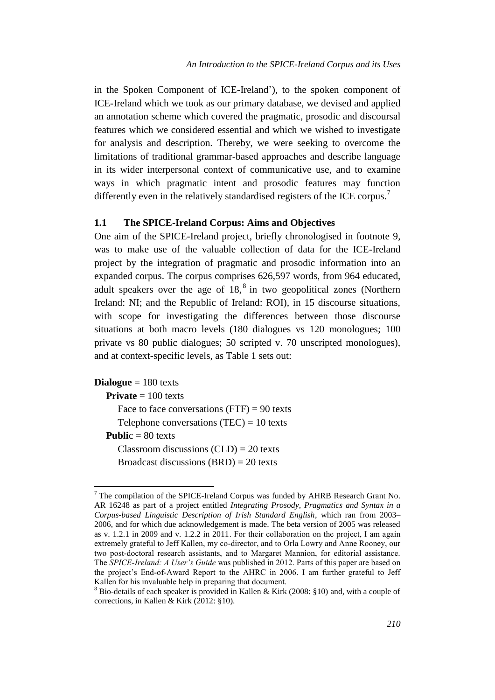in the Spoken Component of ICE-Ireland'), to the spoken component of ICE-Ireland which we took as our primary database, we devised and applied an annotation scheme which covered the pragmatic, prosodic and discoursal features which we considered essential and which we wished to investigate for analysis and description. Thereby, we were seeking to overcome the limitations of traditional grammar-based approaches and describe language in its wider interpersonal context of communicative use, and to examine ways in which pragmatic intent and prosodic features may function differently even in the relatively standardised registers of the ICE corpus.<sup>7</sup>

#### **1.1 The SPICE-Ireland Corpus: Aims and Objectives**

One aim of the SPICE-Ireland project, briefly chronologised in footnote 9, was to make use of the valuable collection of data for the ICE-Ireland project by the integration of pragmatic and prosodic information into an expanded corpus. The corpus comprises 626,597 words, from 964 educated, adult speakers over the age of  $18$ ,  $8$  in two geopolitical zones (Northern Ireland: NI; and the Republic of Ireland: ROI), in 15 discourse situations, with scope for investigating the differences between those discourse situations at both macro levels (180 dialogues vs 120 monologues; 100 private vs 80 public dialogues; 50 scripted v. 70 unscripted monologues), and at context-specific levels, as Table 1 sets out:

**Dialogue** = 180 texts

**Private** = 100 texts

Face to face conversations  $(FTF) = 90$  texts

Telephone conversations  $(TEC) = 10$  texts

**Publi**c = 80 texts

 $\overline{a}$ 

Classroom discussions  $(CLD) = 20$  texts Broadcast discussions (BRD) = 20 texts

 $7$  The compilation of the SPICE-Ireland Corpus was funded by AHRB Research Grant No. AR 16248 as part of a project entitled *Integrating Prosody*, *Pragmatics and Syntax in a Corpus-based Linguistic Description of Irish Standard English*, which ran from 2003– 2006, and for which due acknowledgement is made. The beta version of 2005 was released as v. 1.2.1 in 2009 and v. 1.2.2 in 2011. For their collaboration on the project, I am again extremely grateful to Jeff Kallen, my co-director, and to Orla Lowry and Anne Rooney, our two post-doctoral research assistants, and to Margaret Mannion, for editorial assistance. The *SPICE-Ireland: A User's Guide* was published in 2012. Parts of this paper are based on the project's End-of-Award Report to the AHRC in 2006. I am further grateful to Jeff Kallen for his invaluable help in preparing that document.

 $8$  Bio-details of each speaker is provided in Kallen & Kirk (2008: §10) and, with a couple of corrections, in Kallen & Kirk (2012: §10).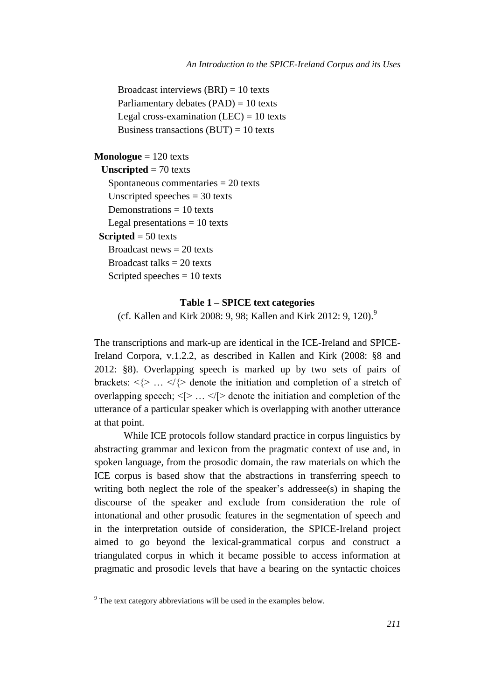Broadcast interviews  $(BRI) = 10$  texts Parliamentary debates (PAD) = 10 texts Legal cross-examination  $(LEC) = 10$  texts Business transactions  $(BUT) = 10$  texts

#### **Monologue** = 120 texts

**Unscripted** = 70 texts Spontaneous commentaries = 20 texts Unscripted speeches = 30 texts Demonstrations  $= 10$  texts Legal presentations  $= 10$  texts **Scripted** = 50 texts Broadcast news  $= 20$  texts Broadcast talks  $= 20$  texts Scripted speeches  $= 10$  texts

#### **Table 1 – SPICE text categories**

(cf. Kallen and Kirk 2008: 9, 98; Kallen and Kirk 2012: 9, 120).<sup>9</sup>

The transcriptions and mark-up are identical in the ICE-Ireland and SPICE-Ireland Corpora, v.1.2.2, as described in Kallen and Kirk (2008: §8 and 2012: §8). Overlapping speech is marked up by two sets of pairs of brackets:  $\langle \rangle$  ...  $\langle \rangle$  denote the initiation and completion of a stretch of overlapping speech;  $\leq$   $> \ldots \leq$   $\leq$  denote the initiation and completion of the utterance of a particular speaker which is overlapping with another utterance at that point.

While ICE protocols follow standard practice in corpus linguistics by abstracting grammar and lexicon from the pragmatic context of use and, in spoken language, from the prosodic domain, the raw materials on which the ICE corpus is based show that the abstractions in transferring speech to writing both neglect the role of the speaker's addressee(s) in shaping the discourse of the speaker and exclude from consideration the role of intonational and other prosodic features in the segmentation of speech and in the interpretation outside of consideration, the SPICE-Ireland project aimed to go beyond the lexical-grammatical corpus and construct a triangulated corpus in which it became possible to access information at pragmatic and prosodic levels that have a bearing on the syntactic choices

 $9^9$  The text category abbreviations will be used in the examples below.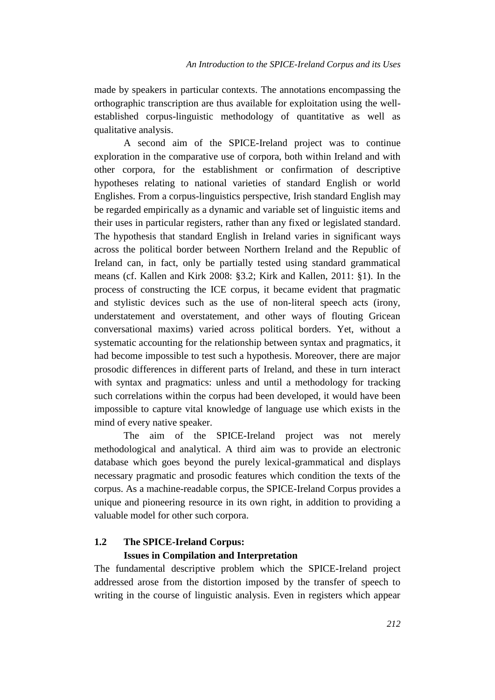made by speakers in particular contexts. The annotations encompassing the orthographic transcription are thus available for exploitation using the wellestablished corpus-linguistic methodology of quantitative as well as qualitative analysis.

A second aim of the SPICE-Ireland project was to continue exploration in the comparative use of corpora, both within Ireland and with other corpora, for the establishment or confirmation of descriptive hypotheses relating to national varieties of standard English or world Englishes. From a corpus-linguistics perspective, Irish standard English may be regarded empirically as a dynamic and variable set of linguistic items and their uses in particular registers, rather than any fixed or legislated standard. The hypothesis that standard English in Ireland varies in significant ways across the political border between Northern Ireland and the Republic of Ireland can, in fact, only be partially tested using standard grammatical means (cf. Kallen and Kirk 2008: §3.2; Kirk and Kallen, 2011: §1). In the process of constructing the ICE corpus, it became evident that pragmatic and stylistic devices such as the use of non-literal speech acts (irony, understatement and overstatement, and other ways of flouting Gricean conversational maxims) varied across political borders. Yet, without a systematic accounting for the relationship between syntax and pragmatics, it had become impossible to test such a hypothesis. Moreover, there are major prosodic differences in different parts of Ireland, and these in turn interact with syntax and pragmatics: unless and until a methodology for tracking such correlations within the corpus had been developed, it would have been impossible to capture vital knowledge of language use which exists in the mind of every native speaker.

The aim of the SPICE-Ireland project was not merely methodological and analytical. A third aim was to provide an electronic database which goes beyond the purely lexical-grammatical and displays necessary pragmatic and prosodic features which condition the texts of the corpus. As a machine-readable corpus, the SPICE-Ireland Corpus provides a unique and pioneering resource in its own right, in addition to providing a valuable model for other such corpora.

## **1.2 The SPICE-Ireland Corpus: Issues in Compilation and Interpretation**

The fundamental descriptive problem which the SPICE-Ireland project addressed arose from the distortion imposed by the transfer of speech to writing in the course of linguistic analysis. Even in registers which appear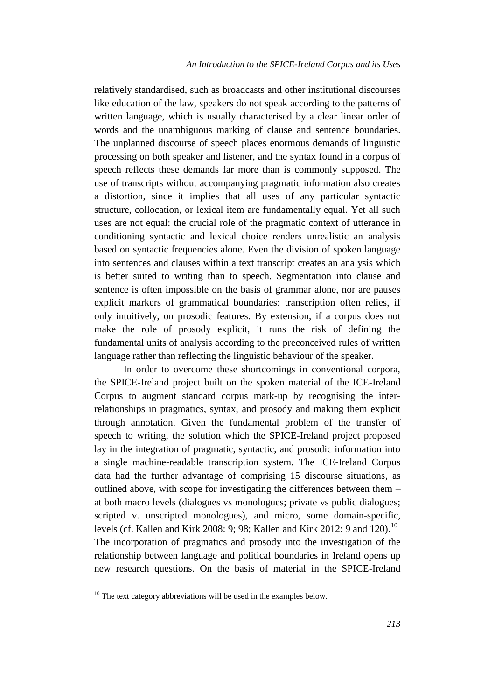relatively standardised, such as broadcasts and other institutional discourses like education of the law, speakers do not speak according to the patterns of written language, which is usually characterised by a clear linear order of words and the unambiguous marking of clause and sentence boundaries. The unplanned discourse of speech places enormous demands of linguistic processing on both speaker and listener, and the syntax found in a corpus of speech reflects these demands far more than is commonly supposed. The use of transcripts without accompanying pragmatic information also creates a distortion, since it implies that all uses of any particular syntactic structure, collocation, or lexical item are fundamentally equal. Yet all such uses are not equal: the crucial role of the pragmatic context of utterance in conditioning syntactic and lexical choice renders unrealistic an analysis based on syntactic frequencies alone. Even the division of spoken language into sentences and clauses within a text transcript creates an analysis which is better suited to writing than to speech. Segmentation into clause and sentence is often impossible on the basis of grammar alone, nor are pauses explicit markers of grammatical boundaries: transcription often relies, if only intuitively, on prosodic features. By extension, if a corpus does not make the role of prosody explicit, it runs the risk of defining the fundamental units of analysis according to the preconceived rules of written language rather than reflecting the linguistic behaviour of the speaker.

In order to overcome these shortcomings in conventional corpora, the SPICE-Ireland project built on the spoken material of the ICE-Ireland Corpus to augment standard corpus mark-up by recognising the interrelationships in pragmatics, syntax, and prosody and making them explicit through annotation. Given the fundamental problem of the transfer of speech to writing, the solution which the SPICE-Ireland project proposed lay in the integration of pragmatic, syntactic, and prosodic information into a single machine-readable transcription system. The ICE-Ireland Corpus data had the further advantage of comprising 15 discourse situations, as outlined above, with scope for investigating the differences between them – at both macro levels (dialogues vs monologues; private vs public dialogues; scripted v. unscripted monologues), and micro, some domain-specific, levels (cf. Kallen and Kirk 2008: 9; 98; Kallen and Kirk 2012: 9 and 120).<sup>10</sup> The incorporation of pragmatics and prosody into the investigation of the relationship between language and political boundaries in Ireland opens up new research questions. On the basis of material in the SPICE-Ireland

 $10$  The text category abbreviations will be used in the examples below.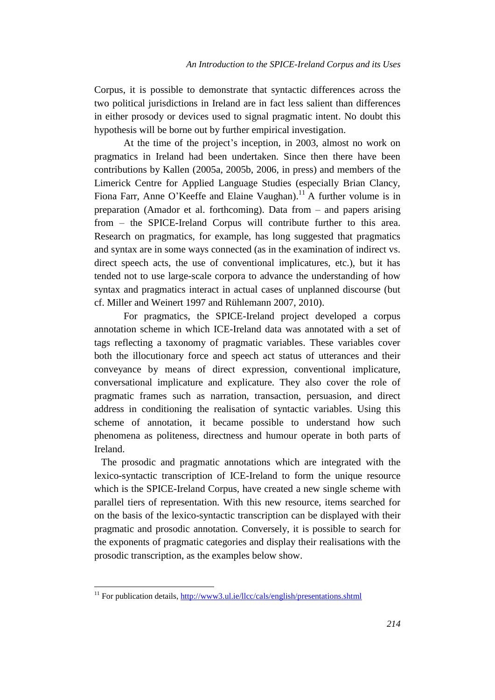Corpus, it is possible to demonstrate that syntactic differences across the two political jurisdictions in Ireland are in fact less salient than differences in either prosody or devices used to signal pragmatic intent. No doubt this hypothesis will be borne out by further empirical investigation.

At the time of the project's inception, in 2003, almost no work on pragmatics in Ireland had been undertaken. Since then there have been contributions by Kallen (2005a, 2005b, 2006, in press) and members of the Limerick Centre for Applied Language Studies (especially Brian Clancy, Fiona Farr, Anne O'Keeffe and Elaine Vaughan).<sup>11</sup> A further volume is in preparation (Amador et al. forthcoming). Data from – and papers arising from – the SPICE-Ireland Corpus will contribute further to this area. Research on pragmatics, for example, has long suggested that pragmatics and syntax are in some ways connected (as in the examination of indirect vs. direct speech acts, the use of conventional implicatures, etc.), but it has tended not to use large-scale corpora to advance the understanding of how syntax and pragmatics interact in actual cases of unplanned discourse (but cf. Miller and Weinert 1997 and Rühlemann 2007, 2010).

For pragmatics, the SPICE-Ireland project developed a corpus annotation scheme in which ICE-Ireland data was annotated with a set of tags reflecting a taxonomy of pragmatic variables. These variables cover both the illocutionary force and speech act status of utterances and their conveyance by means of direct expression, conventional implicature, conversational implicature and explicature. They also cover the role of pragmatic frames such as narration, transaction, persuasion, and direct address in conditioning the realisation of syntactic variables. Using this scheme of annotation, it became possible to understand how such phenomena as politeness, directness and humour operate in both parts of Ireland.

The prosodic and pragmatic annotations which are integrated with the lexico-syntactic transcription of ICE-Ireland to form the unique resource which is the SPICE-Ireland Corpus, have created a new single scheme with parallel tiers of representation. With this new resource, items searched for on the basis of the lexico-syntactic transcription can be displayed with their pragmatic and prosodic annotation. Conversely, it is possible to search for the exponents of pragmatic categories and display their realisations with the prosodic transcription, as the examples below show.

 $11$  For publication details,<http://www3.ul.ie/llcc/cals/english/presentations.shtml>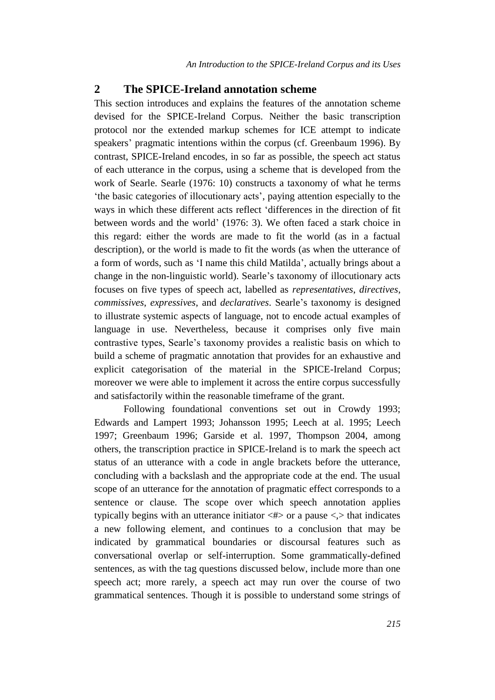### **2 The SPICE-Ireland annotation scheme**

This section introduces and explains the features of the annotation scheme devised for the SPICE-Ireland Corpus. Neither the basic transcription protocol nor the extended markup schemes for ICE attempt to indicate speakers' pragmatic intentions within the corpus (cf. Greenbaum 1996). By contrast, SPICE-Ireland encodes, in so far as possible, the speech act status of each utterance in the corpus, using a scheme that is developed from the work of Searle. Searle (1976: 10) constructs a taxonomy of what he terms 'the basic categories of illocutionary acts', paying attention especially to the ways in which these different acts reflect 'differences in the direction of fit between words and the world' (1976: 3). We often faced a stark choice in this regard: either the words are made to fit the world (as in a factual description), or the world is made to fit the words (as when the utterance of a form of words, such as 'I name this child Matilda', actually brings about a change in the non-linguistic world). Searle's taxonomy of illocutionary acts focuses on five types of speech act, labelled as *representatives*, *directives*, *commissives*, *expressives*, and *declaratives*. Searle's taxonomy is designed to illustrate systemic aspects of language, not to encode actual examples of language in use. Nevertheless, because it comprises only five main contrastive types, Searle's taxonomy provides a realistic basis on which to build a scheme of pragmatic annotation that provides for an exhaustive and explicit categorisation of the material in the SPICE-Ireland Corpus; moreover we were able to implement it across the entire corpus successfully and satisfactorily within the reasonable timeframe of the grant.

Following foundational conventions set out in Crowdy 1993; Edwards and Lampert 1993; Johansson 1995; Leech at al. 1995; Leech 1997; Greenbaum 1996; Garside et al. 1997, Thompson 2004, among others, the transcription practice in SPICE-Ireland is to mark the speech act status of an utterance with a code in angle brackets before the utterance, concluding with a backslash and the appropriate code at the end. The usual scope of an utterance for the annotation of pragmatic effect corresponds to a sentence or clause. The scope over which speech annotation applies typically begins with an utterance initiator  $\langle # \rangle$  or a pause  $\langle \rangle$  that indicates a new following element, and continues to a conclusion that may be indicated by grammatical boundaries or discoursal features such as conversational overlap or self-interruption. Some grammatically-defined sentences, as with the tag questions discussed below, include more than one speech act; more rarely, a speech act may run over the course of two grammatical sentences. Though it is possible to understand some strings of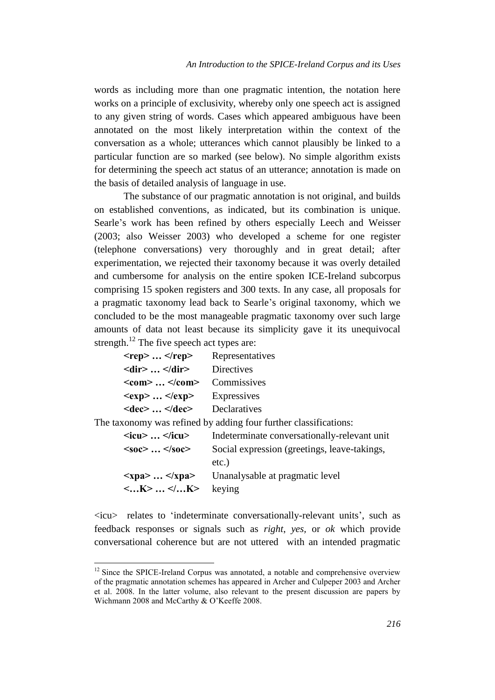words as including more than one pragmatic intention, the notation here works on a principle of exclusivity, whereby only one speech act is assigned to any given string of words. Cases which appeared ambiguous have been annotated on the most likely interpretation within the context of the conversation as a whole; utterances which cannot plausibly be linked to a particular function are so marked (see below). No simple algorithm exists for determining the speech act status of an utterance; annotation is made on the basis of detailed analysis of language in use.

The substance of our pragmatic annotation is not original, and builds on established conventions, as indicated, but its combination is unique. Searle's work has been refined by others especially Leech and Weisser (2003; also Weisser 2003) who developed a scheme for one register (telephone conversations) very thoroughly and in great detail; after experimentation, we rejected their taxonomy because it was overly detailed and cumbersome for analysis on the entire spoken ICE-Ireland subcorpus comprising 15 spoken registers and 300 texts. In any case, all proposals for a pragmatic taxonomy lead back to Searle's original taxonomy, which we concluded to be the most manageable pragmatic taxonomy over such large amounts of data not least because its simplicity gave it its unequivocal strength.<sup>12</sup> The five speech act types are:

| $<$ rep> $<$ /rep>                                            | Representatives |
|---------------------------------------------------------------|-----------------|
| $\langle \text{dir} \rangle \dots \langle \text{dir} \rangle$ | Directives      |
| $<$ com $>$ $<$ /com $>$                                      | Commissives     |
| $<$ exp> $<$ /exp>                                            | Expressives     |
| $\langle dec \rangle$ $\langle dec \rangle$                   | Declaratives    |

 $\overline{a}$ 

The taxonomy was refined by adding four further classifications:

| $\langle$ icu> $\langle$ icu>                 | Indeterminate conversationally-relevant unit                                                |
|-----------------------------------------------|---------------------------------------------------------------------------------------------|
| $<$ soc> $<$ /soc>                            | Social expression (greetings, leave-takings,                                                |
|                                               | etc.)                                                                                       |
|                                               | $\langle \mathbf{x} \rangle$ $\langle \mathbf{x} \rangle$ = Unanalysable at pragmatic level |
| $\langle K \rangle  \langle K \rangle$ keying |                                                                                             |
|                                               |                                                                                             |

<icu> relates to 'indeterminate conversationally-relevant units', such as feedback responses or signals such as *right*, *yes,* or *ok* which provide conversational coherence but are not uttered with an intended pragmatic

 $12$  Since the SPICE-Ireland Corpus was annotated, a notable and comprehensive overview of the pragmatic annotation schemes has appeared in Archer and Culpeper 2003 and Archer et al. 2008. In the latter volume, also relevant to the present discussion are papers by Wichmann 2008 and McCarthy & O'Keeffe 2008.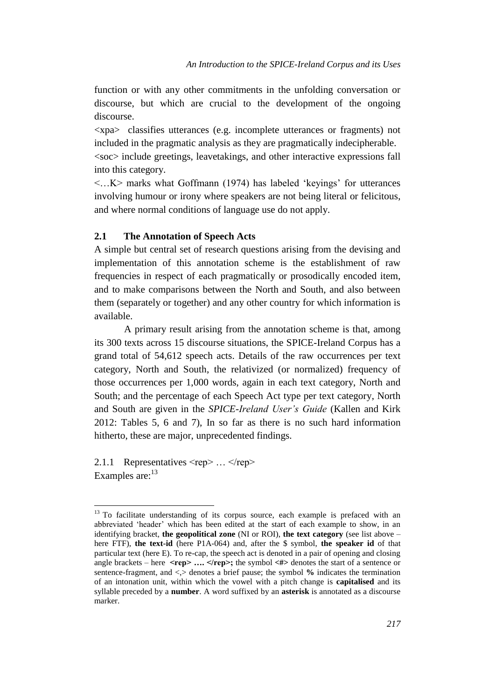function or with any other commitments in the unfolding conversation or discourse, but which are crucial to the development of the ongoing discourse.

<xpa> classifies utterances (e.g. incomplete utterances or fragments) not included in the pragmatic analysis as they are pragmatically indecipherable. <soc> include greetings, leavetakings, and other interactive expressions fall into this category.

 $\langle K \rangle$  marks what Goffmann (1974) has labeled 'keyings' for utterances involving humour or irony where speakers are not being literal or felicitous, and where normal conditions of language use do not apply.

#### **2.1 The Annotation of Speech Acts**

A simple but central set of research questions arising from the devising and implementation of this annotation scheme is the establishment of raw frequencies in respect of each pragmatically or prosodically encoded item, and to make comparisons between the North and South, and also between them (separately or together) and any other country for which information is available.

A primary result arising from the annotation scheme is that, among its 300 texts across 15 discourse situations, the SPICE-Ireland Corpus has a grand total of 54,612 speech acts. Details of the raw occurrences per text category, North and South, the relativized (or normalized) frequency of those occurrences per 1,000 words, again in each text category, North and South; and the percentage of each Speech Act type per text category, North and South are given in the *SPICE-Ireland User's Guide* (Kallen and Kirk 2012: Tables 5, 6 and 7), In so far as there is no such hard information hitherto, these are major, unprecedented findings.

2.1.1 Representatives <rep> ... </rep> Examples are: $13$ 

<sup>&</sup>lt;sup>13</sup> To facilitate understanding of its corpus source, each example is prefaced with an abbreviated 'header' which has been edited at the start of each example to show, in an identifying bracket, **the geopolitical zone** (NI or ROI), **the text category** (see list above – here FTF), **the text-id** (here P1A-064) and, after the \$ symbol, **the speaker id** of that particular text (here E). To re-cap, the speech act is denoted in a pair of opening and closing angle brackets – here **<rep>** .... </rep>; the symbol <#> denotes the start of a sentence or sentence-fragment, and <,> denotes a brief pause; the symbol **%** indicates the termination of an intonation unit, within which the vowel with a pitch change is **capitalised** and its syllable preceded by a **number**. A word suffixed by an **asterisk** is annotated as a discourse marker.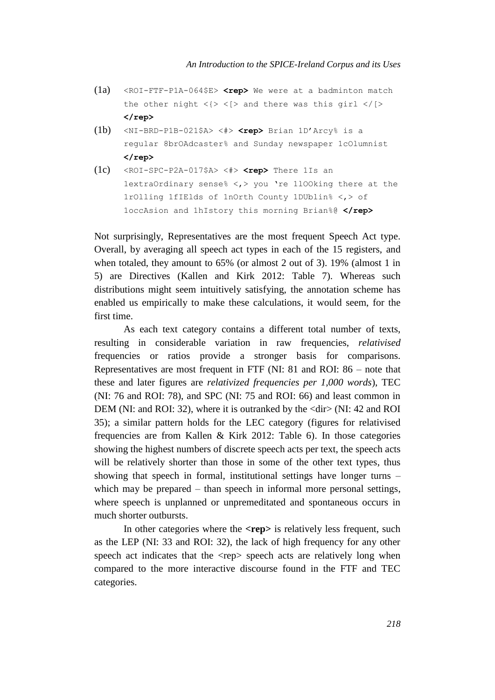- (1a) <ROI-FTF-P1A-064\$E> **<rep>** We were at a badminton match the other night  $\langle\rangle \langle \rangle$  and there was this girl  $\langle \rangle$ [> **</rep>**
- (1b) <NI-BRD-P1B-021\$A> <#> **<rep>** Brian 1D'Arcy% is a regular 8brOAdcaster% and Sunday newspaper 1cOlumnist **</rep>**
- (1c) <ROI-SPC-P2A-017\$A> <#> **<rep>** There 1Is an 1extraOrdinary sense% <,> you 're 1lOOking there at the 1rOlling 1fIElds of 1nOrth County 1DUblin% <,> of 1occAsion and 1hIstory this morning Brian%@ **</rep>**

Not surprisingly, Representatives are the most frequent Speech Act type. Overall, by averaging all speech act types in each of the 15 registers, and when totaled, they amount to 65% (or almost 2 out of 3). 19% (almost 1 in 5) are Directives (Kallen and Kirk 2012: Table 7). Whereas such distributions might seem intuitively satisfying, the annotation scheme has enabled us empirically to make these calculations, it would seem, for the first time.

As each text category contains a different total number of texts, resulting in considerable variation in raw frequencies, *relativised* frequencies or ratios provide a stronger basis for comparisons. Representatives are most frequent in FTF (NI: 81 and ROI: 86 – note that these and later figures are *relativized frequencies per 1,000 words*), TEC (NI: 76 and ROI: 78), and SPC (NI: 75 and ROI: 66) and least common in DEM (NI: and ROI: 32), where it is outranked by the  $\langle \text{dir} \rangle$  (NI: 42 and ROI 35); a similar pattern holds for the LEC category (figures for relativised frequencies are from Kallen & Kirk 2012: Table 6). In those categories showing the highest numbers of discrete speech acts per text, the speech acts will be relatively shorter than those in some of the other text types, thus showing that speech in formal, institutional settings have longer turns – which may be prepared – than speech in informal more personal settings, where speech is unplanned or unpremeditated and spontaneous occurs in much shorter outbursts.

In other categories where the **<rep>** is relatively less frequent, such as the LEP (NI: 33 and ROI: 32), the lack of high frequency for any other speech act indicates that the <rep> speech acts are relatively long when compared to the more interactive discourse found in the FTF and TEC categories.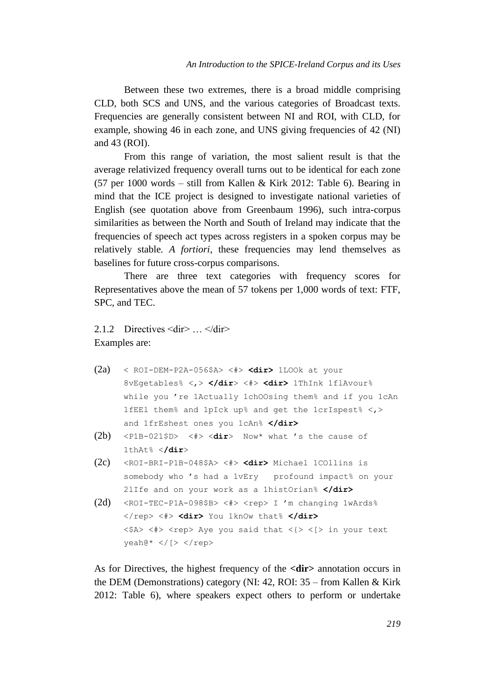Between these two extremes, there is a broad middle comprising CLD, both SCS and UNS, and the various categories of Broadcast texts. Frequencies are generally consistent between NI and ROI, with CLD, for example, showing 46 in each zone, and UNS giving frequencies of 42 (NI) and 43 (ROI).

From this range of variation, the most salient result is that the average relativized frequency overall turns out to be identical for each zone (57 per 1000 words – still from Kallen & Kirk 2012: Table 6). Bearing in mind that the ICE project is designed to investigate national varieties of English (see quotation above from Greenbaum 1996), such intra-corpus similarities as between the North and South of Ireland may indicate that the frequencies of speech act types across registers in a spoken corpus may be relatively stable*. A fortiori*, these frequencies may lend themselves as baselines for future cross-corpus comparisons.

There are three text categories with frequency scores for Representatives above the mean of 57 tokens per 1,000 words of text: FTF, SPC, and TEC.

2.1.2 Directives <dir> … </dir> Examples are:

- (2a) < ROI-DEM-P2A-056\$A> <#> **<dir>** 1LOOk at your 8vEgetables% <,> **</dir**> <#> **<dir>** 1ThInk 1flAvour% while you 're 1Actually 1chOOsing them% and if you 1cAn 1fEEl them% and 1pIck up% and get the 1crIspest% <,> and 1frEshest ones you 1cAn% **</dir>**
- (2b) <P1B-021\$D> <#> <**dir**> Now\* what 's the cause of 1thAt% <**/dir**>
- (2c) <ROI-BRI-P1B-048\$A> <#> **<dir>** Michael 1COllins is somebody who 's had a 1vEry profound impact% on your 2lIfe and on your work as a 1histOrian% **</dir>**
- (2d) <ROI-TEC-P1A-098\$B> <#> <rep> I 'm changing  $1$ wArds% </rep> <#> **<dir>** You 1knOw that% **</dir>**  $\langle$ \$A>  $\langle$ #>  $\langle$ rep> Aye you said that  $\langle$ {>  $\langle$  |> in your text  $y$ eah $@* < / [ > < /rep$

As for Directives, the highest frequency of the **<dir>** annotation occurs in the DEM (Demonstrations) category (NI: 42, ROI: 35 – from Kallen & Kirk 2012: Table 6), where speakers expect others to perform or undertake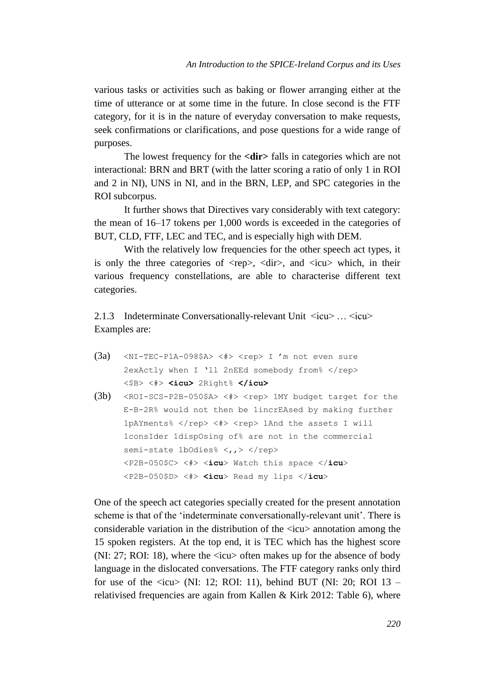various tasks or activities such as baking or flower arranging either at the time of utterance or at some time in the future. In close second is the FTF category, for it is in the nature of everyday conversation to make requests, seek confirmations or clarifications, and pose questions for a wide range of purposes.

The lowest frequency for the **<dir>** falls in categories which are not interactional: BRN and BRT (with the latter scoring a ratio of only 1 in ROI and 2 in NI), UNS in NI, and in the BRN, LEP, and SPC categories in the ROI subcorpus.

It further shows that Directives vary considerably with text category: the mean of 16–17 tokens per 1,000 words is exceeded in the categories of BUT, CLD, FTF, LEC and TEC, and is especially high with DEM.

With the relatively low frequencies for the other speech act types, it is only the three categories of  $\langle rep \rangle$ ,  $\langle dir \rangle$ , and  $\langle icu \rangle$  which, in their various frequency constellations, are able to characterise different text categories.

2.1.3 Indeterminate Conversationally-relevant Unit  $\langle icu \rangle$  ...  $\langle icu \rangle$ Examples are:

- (3a)  $\langle \text{NI-TEC-PIA-098} \rangle \langle \text{A} \rangle$   $\langle \text{rep} \rangle$  I 'm not even sure 2exActly when I 'll 2nEEd somebody from% </rep> <\$B> <#> **<icu>** 2Right% **</icu>**
- (3b) <ROI-SCS-P2B-050\$A> <#> <rep> 1MY budget target for the E-B-2R% would not then be 1incrEAsed by making further 1pAYments% </rep> <#> <rep> 1And the assets I will 1consIder 1dispOsing of% are not in the commercial semi-state 1bOdies% <,,> </rep> <P2B-050\$C> <#> <**icu**> Watch this space </**icu**> <P2B-050\$D> <#> **<icu**> Read my lips </**icu**>

One of the speech act categories specially created for the present annotation scheme is that of the 'indeterminate conversationally-relevant unit'. There is considerable variation in the distribution of the <icu> annotation among the 15 spoken registers. At the top end, it is TEC which has the highest score (NI: 27; ROI: 18), where the <icu> often makes up for the absence of body language in the dislocated conversations. The FTF category ranks only third for use of the  $\langle$ icu $\rangle$  (NI: 12; ROI: 11), behind BUT (NI: 20; ROI 13 – relativised frequencies are again from Kallen & Kirk 2012: Table 6), where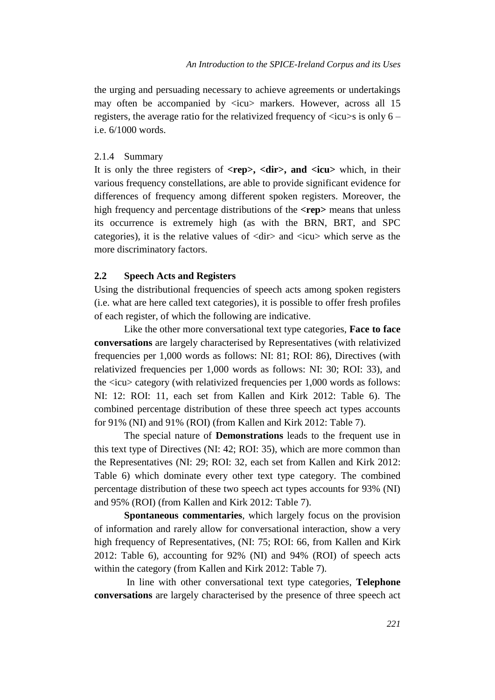the urging and persuading necessary to achieve agreements or undertakings may often be accompanied by  $\langle i \rangle$  markers. However, across all 15 registers, the average ratio for the relativized frequency of  $\langle$ icu $\rangle$ s is only 6 – i.e. 6/1000 words.

#### 2.1.4 Summary

It is only the three registers of **<rep>, <dir>, and <icu>** which, in their various frequency constellations, are able to provide significant evidence for differences of frequency among different spoken registers. Moreover, the high frequency and percentage distributions of the **<rep>** means that unless its occurrence is extremely high (as with the BRN, BRT, and SPC categories), it is the relative values of  $\langle \text{dir} \rangle$  and  $\langle \text{icu} \rangle$  which serve as the more discriminatory factors.

#### **2.2 Speech Acts and Registers**

Using the distributional frequencies of speech acts among spoken registers (i.e. what are here called text categories), it is possible to offer fresh profiles of each register, of which the following are indicative.

Like the other more conversational text type categories, **Face to face conversations** are largely characterised by Representatives (with relativized frequencies per 1,000 words as follows: NI: 81; ROI: 86), Directives (with relativized frequencies per 1,000 words as follows: NI: 30; ROI: 33), and the <icu> category (with relativized frequencies per 1,000 words as follows: NI: 12: ROI: 11, each set from Kallen and Kirk 2012: Table 6). The combined percentage distribution of these three speech act types accounts for 91% (NI) and 91% (ROI) (from Kallen and Kirk 2012: Table 7).

The special nature of **Demonstrations** leads to the frequent use in this text type of Directives (NI: 42; ROI: 35), which are more common than the Representatives (NI: 29; ROI: 32, each set from Kallen and Kirk 2012: Table 6) which dominate every other text type category. The combined percentage distribution of these two speech act types accounts for 93% (NI) and 95% (ROI) (from Kallen and Kirk 2012: Table 7).

**Spontaneous commentaries**, which largely focus on the provision of information and rarely allow for conversational interaction, show a very high frequency of Representatives, (NI: 75; ROI: 66, from Kallen and Kirk 2012: Table 6), accounting for 92% (NI) and 94% (ROI) of speech acts within the category (from Kallen and Kirk 2012: Table 7).

In line with other conversational text type categories, **Telephone conversations** are largely characterised by the presence of three speech act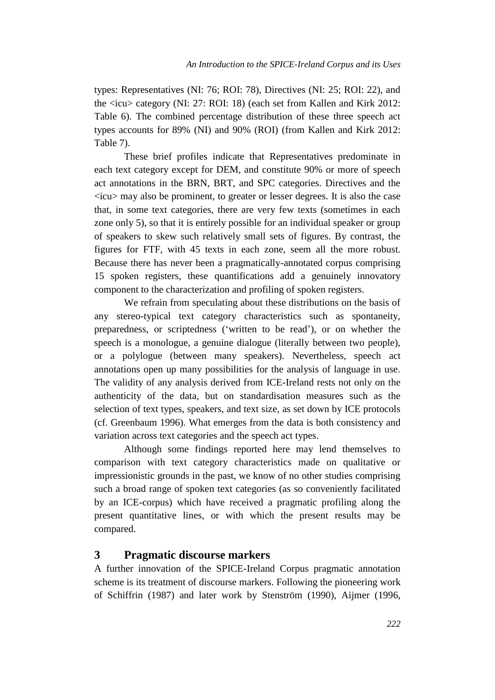types: Representatives (NI: 76; ROI: 78), Directives (NI: 25; ROI: 22), and the <icu> category (NI: 27: ROI: 18) (each set from Kallen and Kirk 2012: Table 6). The combined percentage distribution of these three speech act types accounts for 89% (NI) and 90% (ROI) (from Kallen and Kirk 2012: Table 7).

These brief profiles indicate that Representatives predominate in each text category except for DEM, and constitute 90% or more of speech act annotations in the BRN, BRT, and SPC categories. Directives and the  $\langle icu \rangle$  may also be prominent, to greater or lesser degrees. It is also the case that, in some text categories, there are very few texts (sometimes in each zone only 5), so that it is entirely possible for an individual speaker or group of speakers to skew such relatively small sets of figures. By contrast, the figures for FTF, with 45 texts in each zone, seem all the more robust. Because there has never been a pragmatically-annotated corpus comprising 15 spoken registers, these quantifications add a genuinely innovatory component to the characterization and profiling of spoken registers.

We refrain from speculating about these distributions on the basis of any stereo-typical text category characteristics such as spontaneity, preparedness, or scriptedness ('written to be read'), or on whether the speech is a monologue, a genuine dialogue (literally between two people), or a polylogue (between many speakers). Nevertheless, speech act annotations open up many possibilities for the analysis of language in use. The validity of any analysis derived from ICE-Ireland rests not only on the authenticity of the data, but on standardisation measures such as the selection of text types, speakers, and text size, as set down by ICE protocols (cf. Greenbaum 1996). What emerges from the data is both consistency and variation across text categories and the speech act types.

Although some findings reported here may lend themselves to comparison with text category characteristics made on qualitative or impressionistic grounds in the past, we know of no other studies comprising such a broad range of spoken text categories (as so conveniently facilitated by an ICE-corpus) which have received a pragmatic profiling along the present quantitative lines, or with which the present results may be compared.

### **3 Pragmatic discourse markers**

A further innovation of the SPICE-Ireland Corpus pragmatic annotation scheme is its treatment of discourse markers. Following the pioneering work of Schiffrin (1987) and later work by Stenström (1990), Aijmer (1996,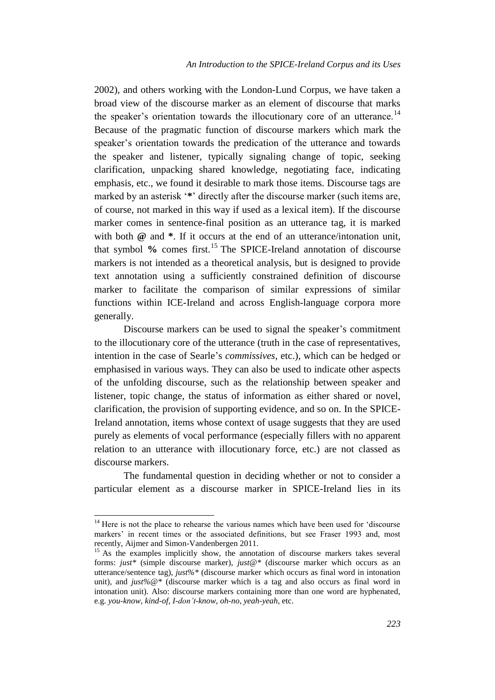2002), and others working with the London-Lund Corpus, we have taken a broad view of the discourse marker as an element of discourse that marks the speaker's orientation towards the illocutionary core of an utterance.<sup>14</sup> Because of the pragmatic function of discourse markers which mark the speaker's orientation towards the predication of the utterance and towards the speaker and listener, typically signaling change of topic, seeking clarification, unpacking shared knowledge, negotiating face, indicating emphasis, etc., we found it desirable to mark those items. Discourse tags are marked by an asterisk '**\***' directly after the discourse marker (such items are, of course, not marked in this way if used as a lexical item). If the discourse marker comes in sentence-final position as an utterance tag, it is marked with both  $\omega$  and  $*$ . If it occurs at the end of an utterance/intonation unit, that symbol % comes first.<sup>15</sup> The SPICE-Ireland annotation of discourse markers is not intended as a theoretical analysis, but is designed to provide text annotation using a sufficiently constrained definition of discourse marker to facilitate the comparison of similar expressions of similar functions within ICE-Ireland and across English-language corpora more generally.

Discourse markers can be used to signal the speaker's commitment to the illocutionary core of the utterance (truth in the case of representatives, intention in the case of Searle's *commissives*, etc.), which can be hedged or emphasised in various ways. They can also be used to indicate other aspects of the unfolding discourse, such as the relationship between speaker and listener, topic change, the status of information as either shared or novel, clarification, the provision of supporting evidence, and so on. In the SPICE-Ireland annotation, items whose context of usage suggests that they are used purely as elements of vocal performance (especially fillers with no apparent relation to an utterance with illocutionary force, etc.) are not classed as discourse markers.

The fundamental question in deciding whether or not to consider a particular element as a discourse marker in SPICE-Ireland lies in its

 $14$  Here is not the place to rehearse the various names which have been used for 'discourse markers' in recent times or the associated definitions, but see Fraser 1993 and, most recently, Aijmer and Simon-Vandenbergen 2011.

<sup>&</sup>lt;sup>15</sup> As the examples implicitly show, the annotation of discourse markers takes several forms: *just\** (simple discourse marker), *just@\** (discourse marker which occurs as an utterance/sentence tag), *just%\** (discourse marker which occurs as final word in intonation unit), and *just%@\** (discourse marker which is a tag and also occurs as final word in intonation unit). Also: discourse markers containing more than one word are hyphenated, e.g. *you-know*, *kind-of*, *I-don't-know*, *oh-no*, *yeah-yeah*, etc.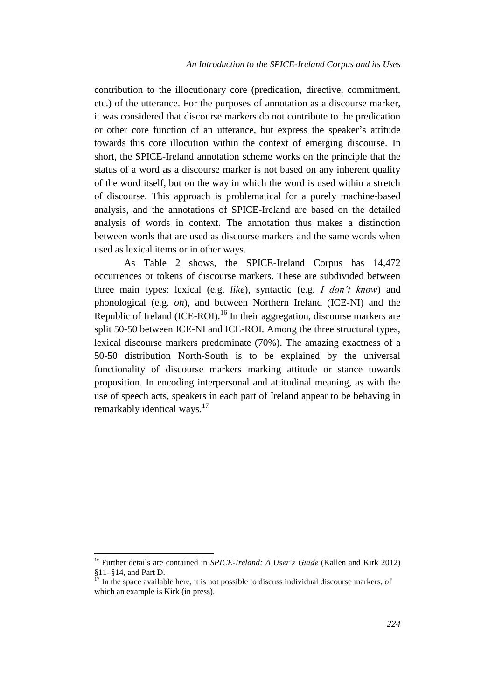contribution to the illocutionary core (predication, directive, commitment, etc.) of the utterance. For the purposes of annotation as a discourse marker, it was considered that discourse markers do not contribute to the predication or other core function of an utterance, but express the speaker's attitude towards this core illocution within the context of emerging discourse. In short, the SPICE-Ireland annotation scheme works on the principle that the status of a word as a discourse marker is not based on any inherent quality of the word itself, but on the way in which the word is used within a stretch of discourse. This approach is problematical for a purely machine-based analysis, and the annotations of SPICE-Ireland are based on the detailed analysis of words in context. The annotation thus makes a distinction between words that are used as discourse markers and the same words when used as lexical items or in other ways.

As Table 2 shows, the SPICE-Ireland Corpus has 14,472 occurrences or tokens of discourse markers. These are subdivided between three main types: lexical (e.g. *like*), syntactic (e.g. *I don't know*) and phonological (e.g. *oh*), and between Northern Ireland (ICE-NI) and the Republic of Ireland (ICE-ROI).<sup>16</sup> In their aggregation, discourse markers are split 50-50 between ICE-NI and ICE-ROI. Among the three structural types, lexical discourse markers predominate (70%). The amazing exactness of a 50-50 distribution North-South is to be explained by the universal functionality of discourse markers marking attitude or stance towards proposition. In encoding interpersonal and attitudinal meaning, as with the use of speech acts, speakers in each part of Ireland appear to be behaving in remarkably identical ways.<sup>17</sup>

<sup>16</sup> Further details are contained in *SPICE-Ireland: A User's Guide* (Kallen and Kirk 2012) §11–§14, and Part D.

 $17 \text{ In the space available here, it is not possible to discuss individual discourse markers, of }$ which an example is Kirk (in press).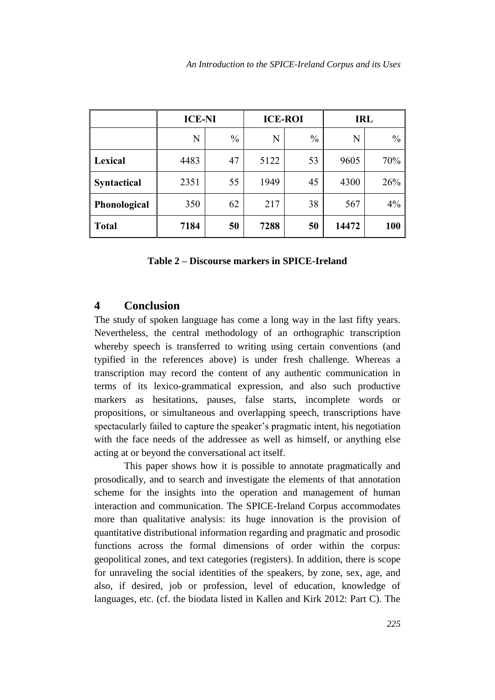|                    | <b>ICE-NI</b> |               | <b>ICE-ROI</b> |               | <b>IRL</b> |               |
|--------------------|---------------|---------------|----------------|---------------|------------|---------------|
|                    | N             | $\frac{0}{0}$ | N              | $\frac{0}{0}$ | N          | $\frac{0}{0}$ |
| <b>Lexical</b>     | 4483          | 47            | 5122           | 53            | 9605       | 70%           |
| <b>Syntactical</b> | 2351          | 55            | 1949           | 45            | 4300       | 26%           |
| Phonological       | 350           | 62            | 217            | 38            | 567        | 4%            |
| <b>Total</b>       | 7184          | 50            | 7288           | 50            | 14472      | 100           |

### **4 Conclusion**

The study of spoken language has come a long way in the last fifty years. Nevertheless, the central methodology of an orthographic transcription whereby speech is transferred to writing using certain conventions (and typified in the references above) is under fresh challenge. Whereas a transcription may record the content of any authentic communication in terms of its lexico-grammatical expression, and also such productive markers as hesitations, pauses, false starts, incomplete words or propositions, or simultaneous and overlapping speech, transcriptions have spectacularly failed to capture the speaker's pragmatic intent, his negotiation with the face needs of the addressee as well as himself, or anything else acting at or beyond the conversational act itself.

This paper shows how it is possible to annotate pragmatically and prosodically, and to search and investigate the elements of that annotation scheme for the insights into the operation and management of human interaction and communication. The SPICE-Ireland Corpus accommodates more than qualitative analysis: its huge innovation is the provision of quantitative distributional information regarding and pragmatic and prosodic functions across the formal dimensions of order within the corpus: geopolitical zones, and text categories (registers). In addition, there is scope for unraveling the social identities of the speakers, by zone, sex, age, and also, if desired, job or profession, level of education, knowledge of languages, etc. (cf. the biodata listed in Kallen and Kirk 2012: Part C). The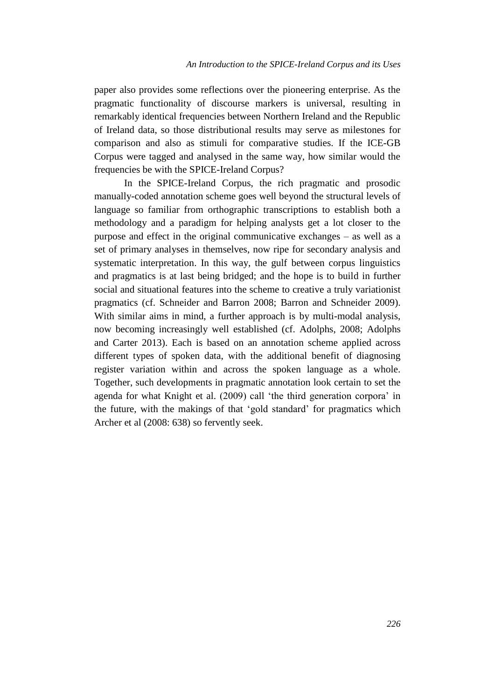paper also provides some reflections over the pioneering enterprise. As the pragmatic functionality of discourse markers is universal, resulting in remarkably identical frequencies between Northern Ireland and the Republic of Ireland data, so those distributional results may serve as milestones for comparison and also as stimuli for comparative studies. If the ICE-GB Corpus were tagged and analysed in the same way, how similar would the frequencies be with the SPICE-Ireland Corpus?

In the SPICE-Ireland Corpus, the rich pragmatic and prosodic manually-coded annotation scheme goes well beyond the structural levels of language so familiar from orthographic transcriptions to establish both a methodology and a paradigm for helping analysts get a lot closer to the purpose and effect in the original communicative exchanges – as well as a set of primary analyses in themselves, now ripe for secondary analysis and systematic interpretation. In this way, the gulf between corpus linguistics and pragmatics is at last being bridged; and the hope is to build in further social and situational features into the scheme to creative a truly variationist pragmatics (cf. Schneider and Barron 2008; Barron and Schneider 2009). With similar aims in mind, a further approach is by multi-modal analysis, now becoming increasingly well established (cf. Adolphs, 2008; Adolphs and Carter 2013). Each is based on an annotation scheme applied across different types of spoken data, with the additional benefit of diagnosing register variation within and across the spoken language as a whole. Together, such developments in pragmatic annotation look certain to set the agenda for what Knight et al. (2009) call 'the third generation corpora' in the future, with the makings of that 'gold standard' for pragmatics which Archer et al (2008: 638) so fervently seek.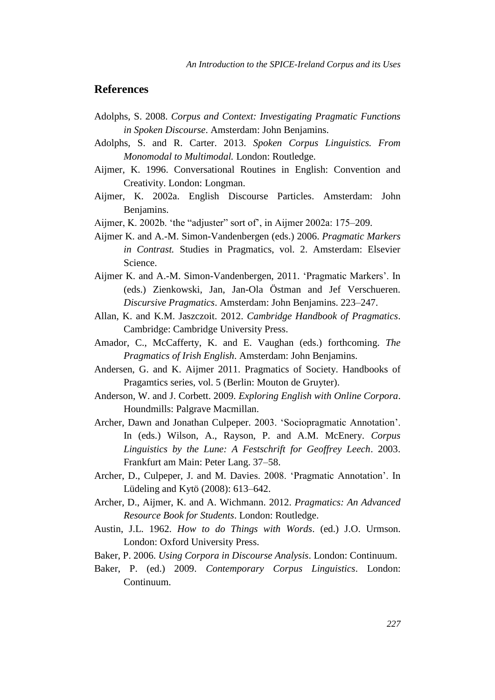### **References**

- Adolphs, S. 2008. *Corpus and Context: Investigating Pragmatic Functions in Spoken Discourse*. Amsterdam: John Benjamins.
- Adolphs, S. and R. Carter. 2013. *Spoken Corpus Linguistics. From Monomodal to Multimodal.* London: Routledge.
- Aijmer, K. 1996. Conversational Routines in English: Convention and Creativity. London: Longman.
- Aijmer, K. 2002a. English Discourse Particles. Amsterdam: John Benjamins.
- Aijmer, K. 2002b. 'the "adjuster" sort of', in Aijmer 2002a: 175–209.
- Aijmer K. and A.-M. Simon-Vandenbergen (eds.) 2006. *Pragmatic Markers in Contrast.* Studies in Pragmatics, vol. 2. Amsterdam: Elsevier Science.
- Aijmer K. and A.-M. Simon-Vandenbergen, 2011. 'Pragmatic Markers'. In (eds.) Zienkowski, Jan, Jan-Ola Östman and Jef Verschueren. *Discursive Pragmatics*. Amsterdam: John Benjamins. 223–247.
- Allan, K. and K.M. Jaszczoit. 2012. *Cambridge Handbook of Pragmatics*. Cambridge: Cambridge University Press.
- Amador, C., McCafferty, K. and E. Vaughan (eds.) forthcoming. *The Pragmatics of Irish English*. Amsterdam: John Benjamins.
- Andersen, G. and K. Aijmer 2011. Pragmatics of Society. Handbooks of Pragamtics series, vol. 5 (Berlin: Mouton de Gruyter).
- Anderson, W. and J. Corbett. 2009. *Exploring English with Online Corpora*. Houndmills: Palgrave Macmillan.
- Archer, Dawn and Jonathan Culpeper. 2003. 'Sociopragmatic Annotation'. In (eds.) Wilson, A., Rayson, P. and A.M. McEnery. *Corpus Linguistics by the Lune: A Festschrift for Geoffrey Leech*. 2003. Frankfurt am Main: Peter Lang. 37–58.
- Archer, D., Culpeper, J. and M. Davies. 2008. 'Pragmatic Annotation'. In Lüdeling and Kytö (2008): 613–642.
- Archer, D., Aijmer, K. and A. Wichmann. 2012. *Pragmatics: An Advanced Resource Book for Students*. London: Routledge.
- Austin, J.L. 1962. *How to do Things with Words*. (ed.) J.O. Urmson. London: Oxford University Press.
- Baker, P. 2006. *Using Corpora in Discourse Analysis*. London: Continuum.
- Baker, P. (ed.) 2009. *Contemporary Corpus Linguistics*. London: Continuum.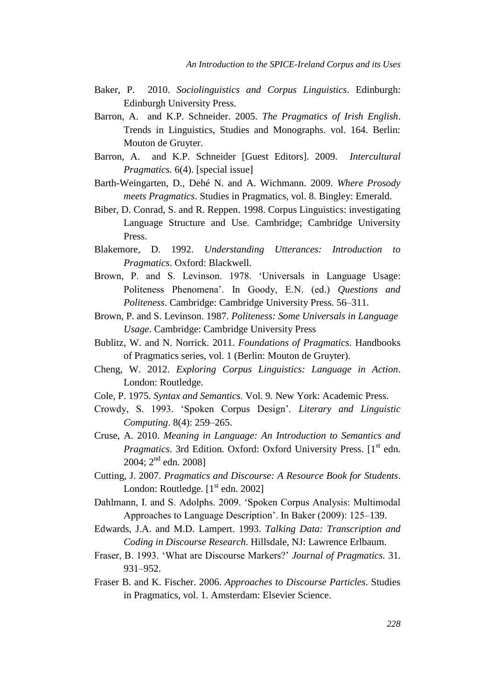- Baker, P. 2010. *Sociolinguistics and Corpus Linguistics*. Edinburgh: Edinburgh University Press.
- Barron, A. and K.P. Schneider. 2005. *The Pragmatics of Irish English*. Trends in Linguistics, Studies and Monographs. vol. 164. Berlin: Mouton de Gruyter.
- Barron, A. and K.P. Schneider [Guest Editors]. 2009. *Intercultural Pragmatics.* 6(4). [special issue]
- Barth-Weingarten, D., Dehé N. and A. Wichmann. 2009. *Where Prosody meets Pragmatics*. Studies in Pragmatics, vol. 8. Bingley: Emerald.
- Biber, D. Conrad, S. and R. Reppen. 1998. Corpus Linguistics: investigating Language Structure and Use. Cambridge; Cambridge University Press.
- Blakemore, D. 1992. *Understanding Utterances: Introduction to Pragmatics*. Oxford: Blackwell.
- Brown, P. and S. Levinson. 1978. 'Universals in Language Usage: Politeness Phenomena'. In Goody, E.N. (ed.) *Questions and Politeness*. Cambridge: Cambridge University Press. 56–311.
- Brown, P. and S. Levinson. 1987. *Politeness: Some Universals in Language Usage*. Cambridge: Cambridge University Press
- Bublitz, W. and N. Norrick. 2011. *Foundations of Pragmatics*. Handbooks of Pragmatics series, vol. 1 (Berlin: Mouton de Gruyter).
- Cheng, W. 2012. *Exploring Corpus Linguistics: Language in Action*. London: Routledge.
- Cole, P. 1975. *Syntax and Semantics*. Vol. 9*.* New York: Academic Press.
- Crowdy, S. 1993. 'Spoken Corpus Design'. *Literary and Linguistic Computing*. 8(4): 259–265.
- Cruse, A. 2010. *Meaning in Language: An Introduction to Semantics and Pragmatics*. 3rd Edition. Oxford: Oxford University Press. [1<sup>st</sup> edn. 2004; 2<sup>nd</sup> edn. 2008]
- Cutting, J. 2007. *Pragmatics and Discourse: A Resource Book for Students*. London: Routledge.  $[1<sup>st</sup>$  edn. 2002]
- Dahlmann, I. and S. Adolphs. 2009. 'Spoken Corpus Analysis: Multimodal Approaches to Language Description'. In Baker (2009): 125–139.
- Edwards, J.A. and M.D. Lampert. 1993. *Talking Data: Transcription and Coding in Discourse Research.* Hillsdale, NJ: Lawrence Erlbaum.
- Fraser, B. 1993. 'What are Discourse Markers?' *Journal of Pragmatics.* 31. 931–952.
- Fraser B. and K. Fischer. 2006. *Approaches to Discourse Particles*. Studies in Pragmatics, vol. 1. Amsterdam: Elsevier Science.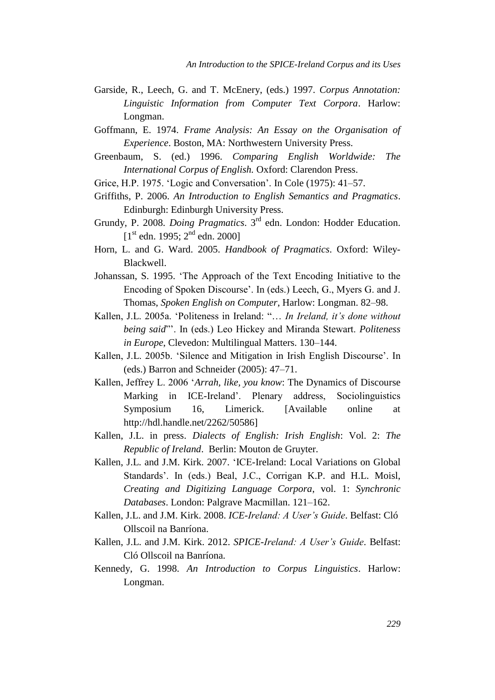- Garside, R., Leech, G. and T. McEnery, (eds.) 1997. *Corpus Annotation: Linguistic Information from Computer Text Corpora*. Harlow: Longman.
- Goffmann, E. 1974. *Frame Analysis: An Essay on the Organisation of Experience*. Boston, MA: Northwestern University Press.
- Greenbaum, S. (ed.) 1996. *Comparing English Worldwide: The International Corpus of English.* Oxford: Clarendon Press.
- Grice, H.P. 1975. 'Logic and Conversation'. In Cole (1975): 41–57.
- Griffiths, P. 2006. *An Introduction to English Semantics and Pragmatics*. Edinburgh: Edinburgh University Press.
- Grundy, P. 2008. *Doing Pragmatics*. 3rd edn. London: Hodder Education.  $[1<sup>st</sup>$  edn. 1995;  $2<sup>nd</sup>$  edn. 2000]
- Horn, L. and G. Ward. 2005. *Handbook of Pragmatics*. Oxford: Wiley-Blackwell.
- Johanssan, S. 1995. 'The Approach of the Text Encoding Initiative to the Encoding of Spoken Discourse'. In (eds.) Leech, G., Myers G. and J. Thomas, *Spoken English on Computer*, Harlow: Longman. 82–98.
- Kallen, J.L. 2005a. 'Politeness in Ireland: "… *In Ireland, it's done without being said*"'. In (eds.) Leo Hickey and Miranda Stewart. *Politeness in Europe*, Clevedon: Multilingual Matters. 130–144.
- Kallen, J.L. 2005b. 'Silence and Mitigation in Irish English Discourse'. In (eds.) Barron and Schneider (2005): 47–71.
- Kallen, Jeffrey L. 2006 '*Arrah, like, you know*: The Dynamics of Discourse Marking in ICE-Ireland'. Plenary address, Sociolinguistics Symposium 16, Limerick. [Available online at http://hdl.handle.net/2262/50586]
- Kallen, J.L. in press. *Dialects of English: Irish English*: Vol. 2: *The Republic of Ireland*. Berlin: Mouton de Gruyter.
- Kallen, J.L. and J.M. Kirk. 2007. 'ICE-Ireland: Local Variations on Global Standards'. In (eds.) Beal, J.C., Corrigan K.P. and H.L. Moisl, *Creating and Digitizing Language Corpora*, vol. 1: *Synchronic Databases*. London: Palgrave Macmillan. 121–162.
- Kallen, J.L. and J.M. Kirk. 2008. *ICE-Ireland: A User's Guide*. Belfast: Cló Ollscoil na Banríona.
- Kallen, J.L. and J.M. Kirk. 2012. *SPICE-Ireland: A User's Guide*. Belfast: Cló Ollscoil na Banríona.
- Kennedy, G. 1998. *An Introduction to Corpus Linguistics*. Harlow: Longman.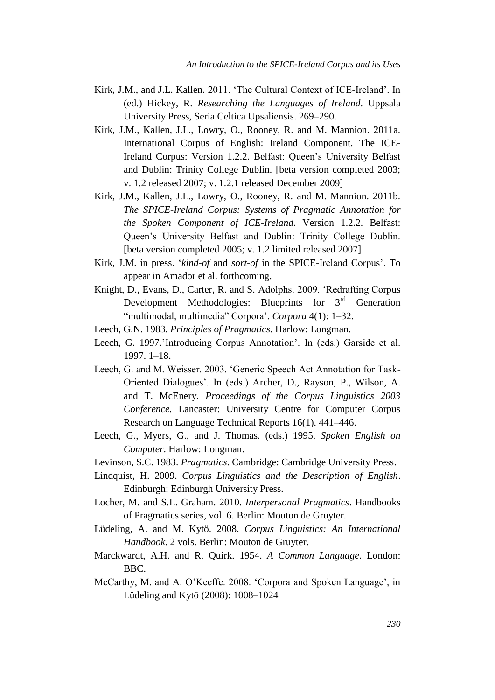- Kirk, J.M., and J.L. Kallen. 2011. 'The Cultural Context of ICE-Ireland'. In (ed.) Hickey, R. *Researching the Languages of Ireland*. Uppsala University Press, Seria Celtica Upsaliensis. 269–290.
- Kirk, J.M., Kallen, J.L., Lowry, O., Rooney, R. and M. Mannion. 2011a. International Corpus of English: Ireland Component. The ICE-Ireland Corpus: Version 1.2.2. Belfast: Queen's University Belfast and Dublin: Trinity College Dublin. [beta version completed 2003; v. 1.2 released 2007; v. 1.2.1 released December 2009]
- Kirk, J.M., Kallen, J.L., Lowry, O., Rooney, R. and M. Mannion. 2011b. *The SPICE-Ireland Corpus: Systems of Pragmatic Annotation for the Spoken Component of ICE-Ireland*. Version 1.2.2. Belfast: Queen's University Belfast and Dublin: Trinity College Dublin. [beta version completed 2005; v. 1.2 limited released 2007]
- Kirk, J.M. in press. '*kind-of* and *sort-of* in the SPICE-Ireland Corpus'. To appear in Amador et al. forthcoming.
- Knight, D., Evans, D., Carter, R. and S. Adolphs. 2009. 'Redrafting Corpus Development Methodologies: Blueprints for  $3<sup>rd</sup>$  Generation "multimodal, multimedia" Corpora'. *Corpora* 4(1): 1–32.
- Leech, G.N. 1983. *Principles of Pragmatics*. Harlow: Longman.
- Leech, G. 1997.'Introducing Corpus Annotation'. In (eds.) Garside et al. 1997. 1–18.
- Leech, G. and M. Weisser. 2003. 'Generic Speech Act Annotation for Task-Oriented Dialogues'. In (eds.) Archer, D., Rayson, P., Wilson, A. and T. McEnery. *Proceedings of the Corpus Linguistics 2003 Conference.* Lancaster: University Centre for Computer Corpus Research on Language Technical Reports 16(1). 441–446.
- Leech, G., Myers, G., and J. Thomas. (eds.) 1995. *Spoken English on Computer*. Harlow: Longman.
- Levinson, S.C. 1983. *Pragmatics*. Cambridge: Cambridge University Press.
- Lindquist, H. 2009. *Corpus Linguistics and the Description of English*. Edinburgh: Edinburgh University Press.
- Locher, M. and S.L. Graham. 2010. *Interpersonal Pragmatics*. Handbooks of Pragmatics series, vol. 6. Berlin: Mouton de Gruyter.
- Lüdeling, A. and M. Kytö. 2008. *Corpus Linguistics: An International Handbook*. 2 vols. Berlin: Mouton de Gruyter.
- Marckwardt, A.H. and R. Quirk. 1954. *A Common Language*. London: BBC.
- McCarthy, M. and A. O'Keeffe. 2008. 'Corpora and Spoken Language', in Lüdeling and Kytö (2008): 1008–1024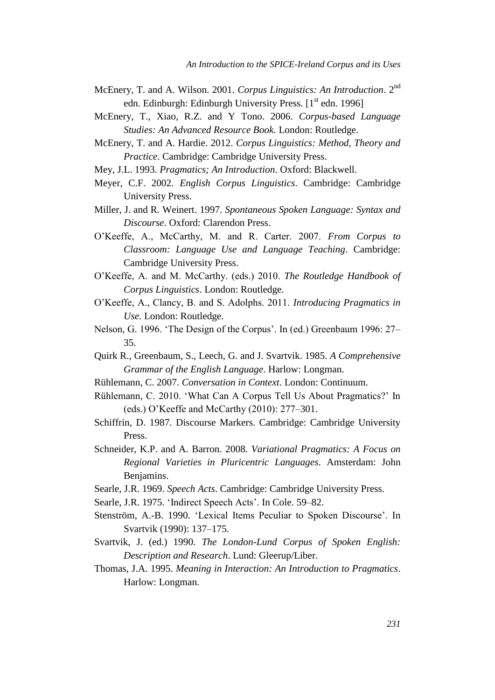- McEnery, T. and A. Wilson. 2001. *Corpus Linguistics: An Introduction*. 2nd edn. Edinburgh: Edinburgh University Press.  $[1<sup>st</sup>$  edn. 1996]
- McEnery, T., Xiao, R.Z. and Y Tono. 2006. *Corpus-based Language Studies: An Advanced Resource Book.* London: Routledge.
- McEnery, T. and A. Hardie. 2012. *Corpus Linguistics: Method, Theory and Practice*. Cambridge: Cambridge University Press.
- Mey, J.L. 1993. *Pragmatics; An Introduction*. Oxford: Blackwell.
- Meyer, C.F. 2002. *English Corpus Linguistics*. Cambridge: Cambridge University Press.
- Miller, J. and R. Weinert. 1997. *Spontaneous Spoken Language: Syntax and Discourse*. Oxford: Clarendon Press.
- O'Keeffe, A., McCarthy, M. and R. Carter. 2007. *From Corpus to Classroom: Language Use and Language Teaching*. Cambridge: Cambridge University Press.
- O'Keeffe, A. and M. McCarthy. (eds.) 2010. *The Routledge Handbook of Corpus Linguistics*. London: Routledge.
- O'Keeffe, A., Clancy, B. and S. Adolphs. 2011. *Introducing Pragmatics in Use*. London: Routledge.
- Nelson, G. 1996. 'The Design of the Corpus'. In (ed.) Greenbaum 1996: 27– 35.
- Quirk R., Greenbaum, S., Leech, G. and J. Svartvik. 1985. *A Comprehensive Grammar of the English Language*. Harlow: Longman.
- Rühlemann, C. 2007. *Conversation in Context*. London: Continuum.
- Rühlemann, C. 2010. 'What Can A Corpus Tell Us About Pragmatics?' In (eds.) O'Keeffe and McCarthy (2010): 277–301.
- Schiffrin, D. 1987. Discourse Markers. Cambridge: Cambridge University Press.
- Schneider, K.P. and A. Barron. 2008. *Variational Pragmatics: A Focus on Regional Varieties in Pluricentric Languages*. Amsterdam: John Benjamins.
- Searle, J.R. 1969. *Speech Acts*. Cambridge: Cambridge University Press.
- Searle, J.R. 1975. 'Indirect Speech Acts'. In Cole. 59–82.
- Stenström, A.-B. 1990. 'Lexical Items Peculiar to Spoken Discourse'. In Svartvik (1990): 137–175.
- Svartvik, J. (ed.) 1990. *The London-Lund Corpus of Spoken English: Description and Research*. Lund: Gleerup/Liber.
- Thomas, J.A. 1995. *Meaning in Interaction: An Introduction to Pragmatics*. Harlow: Longman.